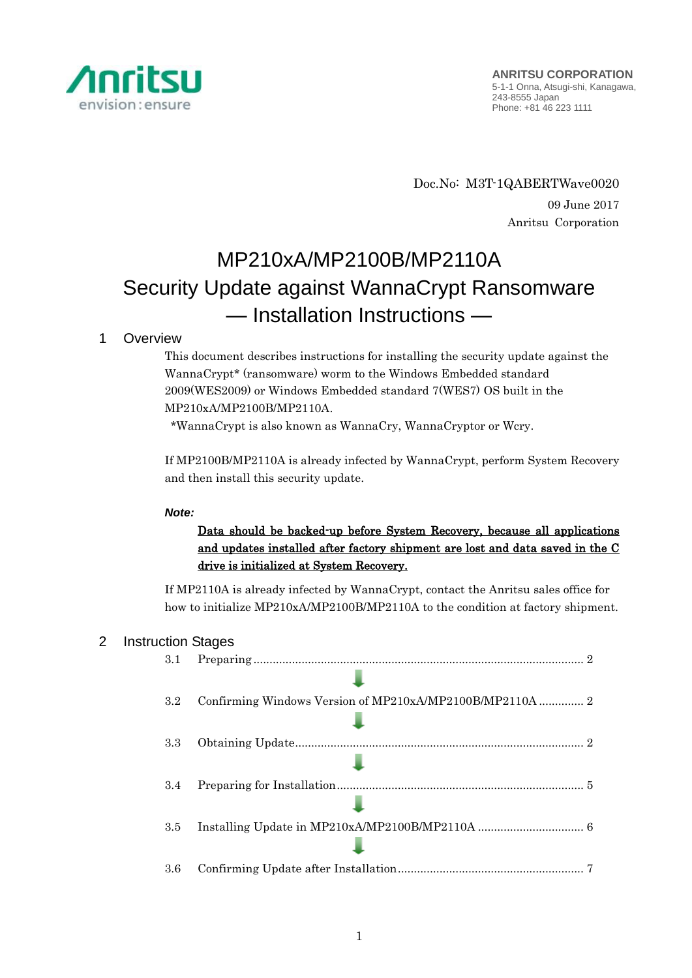

Doc.No: M3T-1QABERTWave0020 09 June 2017 Anritsu Corporation

# MP210xA/MP2100B/MP2110A Security Update against WannaCrypt Ransomware — Installation Instructions —

# 1 Overview

This document describes instructions for installing the security update against the WannaCrypt\* (ransomware) worm to the Windows Embedded standard 2009(WES2009) or Windows Embedded standard 7(WES7) OS built in the MP210xA/MP2100B/MP2110A.

\*WannaCrypt is also known as WannaCry, WannaCryptor or Wcry.

If MP2100B/MP2110A is already infected by WannaCrypt, perform System Recovery and then install this security update.

#### *Note:*

# Data should be backed-up before System Recovery, because all applications and updates installed after factory shipment are lost and data saved in the C drive is initialized at System Recovery.

If MP2110A is already infected by WannaCrypt, contact the Anritsu sales office for how to initialize MP210xA/MP2100B/MP2110A to the condition at factory shipment.

## 2 Instruction Stages

| 3.1     | -2                                                       |
|---------|----------------------------------------------------------|
|         |                                                          |
| 3.2     | Confirming Windows Version of MP210xA/MP2100B/MP2110A  2 |
|         |                                                          |
| 3.3     |                                                          |
|         |                                                          |
| 3.4     |                                                          |
|         |                                                          |
| 3.5     |                                                          |
|         |                                                          |
| $3.6\,$ |                                                          |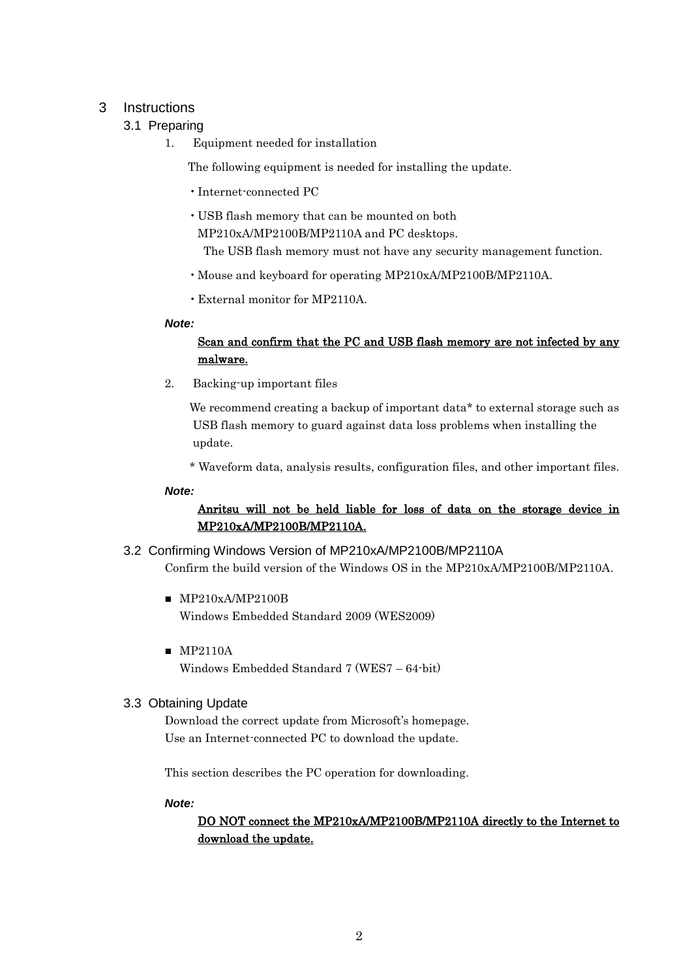# <span id="page-1-3"></span><span id="page-1-0"></span>3 Instructions

# 3.1 Preparing

1. Equipment needed for installation

The following equipment is needed for installing the update.

- •Internet-connected PC
- USB flash memory that can be mounted on both

MP210xA/MP2100B/MP2110A and PC desktops.

The USB flash memory must not have any security management function.

- •Mouse and keyboard for operating MP210xA/MP2100B/MP2110A.
- •External monitor for MP2110A.

#### *Note:*

## Scan and confirm that the PC and USB flash memory are not infected by any malware.

2. Backing-up important files

We recommend creating a backup of important data\* to external storage such as USB flash memory to guard against data loss problems when installing the update.

\* Waveform data, analysis results, configuration files, and other important files.

#### *Note:*

# Anritsu will not be held liable for loss of data on the storage device in MP210xA/MP2100B/MP2110A.

- <span id="page-1-1"></span>3.2 Confirming Windows Version of MP210xA/MP2100B/MP2110A Confirm the build version of the Windows OS in the MP210xA/MP2100B/MP2110A.
	- MP210xA/MP2100B Windows Embedded Standard 2009 (WES2009)
	- MP2110A Windows Embedded Standard 7 (WES7 – 64-bit)

## <span id="page-1-2"></span>3.3 Obtaining Update

Download the correct update from Microsoft's homepage. Use an Internet-connected PC to download the update.

This section describes the PC operation for downloading.

*Note:*

# DO NOT connect the MP210xA/MP2100B/MP2110A directly to the Internet to download the update.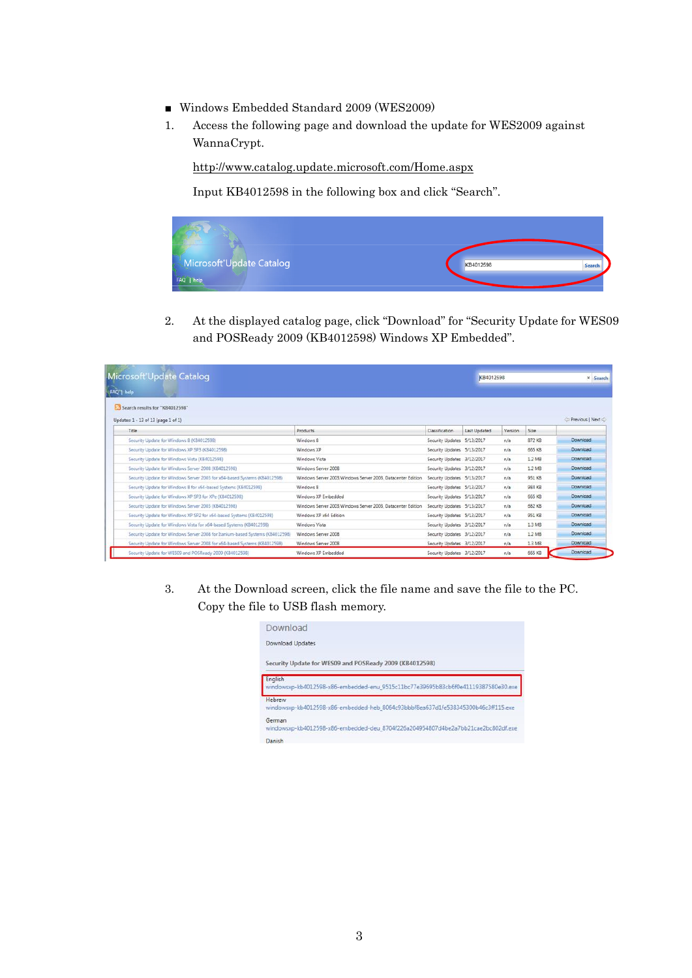- Windows Embedded Standard 2009 (WES2009)
- 1. Access the following page and download the update for WES2009 against WannaCrypt.

<http://www.catalog.update.microsoft.com/Home.aspx>

Input KB4012598 in the following box and click "Search".



2. At the displayed catalog page, click "Download" for "Security Update for WES09 and POSReady 2009 (KB4012598) Windows XP Embedded".

| Microsoft Update Catalog                                                      |                                                              |                            |              | KB4012598 |        | x Search        |
|-------------------------------------------------------------------------------|--------------------------------------------------------------|----------------------------|--------------|-----------|--------|-----------------|
| FAQ <sup>1</sup> help                                                         |                                                              |                            |              |           |        |                 |
| Search results for "KB4012598"                                                |                                                              |                            |              |           |        |                 |
| Updates: 1 - 13 of 13 (page 1 of 1)                                           |                                                              |                            |              |           |        | Previous   Next |
| Title                                                                         | Products                                                     | Classification             | Last Updated | Version   | Size   |                 |
| Security Update for Windows 8 (KB4012598)                                     | Windows 8                                                    | Security Updates 5/13/2017 |              | n/s       | 872 KB | Download        |
| Security Update for Windows XP SP3 (KB4012598)                                | Windows XP                                                   | Security Updates 5/13/2017 |              | n/a       | 665 KB | Download        |
| Security Update for Windows Vista (KB4012598)                                 | Windows Vista                                                | Security Updates 3/12/2017 |              | n/a       | 1.2 MB | Download        |
| Security Update for Windows Server 2008 (K84012598)                           | Windows Server 2008                                          | Security Updates 3/12/2017 |              | n/s       | 1.2 MB | Download        |
| Security Update for Windows Server 2003 for x64-based Systems (KB4012598).    | Windows Server 2003. Windows Server 2003. Datacenter Edition | Security Updates 5/13/2017 |              | n/a       | 951 KB | Download        |
| Security Update for Windows 8 for x64-based Systems (KB4012598)               | Windows 8                                                    | Security Updates 5/13/2017 |              | n/a       | 984 KB | Download        |
| Security Update for Windows XP SP3 for XPe (KB4012598)                        | Windows XP Embedded                                          | Security Updates 5/13/2017 |              | n/a       | 665 KB | Download        |
| Security Update for Windows Server 2003 (KB4012598)                           | Windows Server 2003 Windows Server 2003. Datacenter Edition  | Security Updates 5/13/2017 |              | n/a       | 682 KB | Download        |
| Security Update for Windows XP SP2 for x64-based Systems (KB4012598)          | Windows XP x64 Edition                                       | Security Updates 5/13/2017 |              | n/a       | 951 KB | Download        |
| Security Update for Windows Vista for x64-based Systems (K84012598)           | Windows Vista                                                | Security Updates 3/12/2017 |              | n/a       | 1.3 MB | Download        |
| Security Update for Windows Server 2008 for Itanium-based Systems (KB4012598) | Windows Server 2008                                          | Security Updates 3/12/2017 |              | n/s       | 1.2 MB | Download        |
| Security Update for Windows Server 2008 for x64-based Systems (KB4012598)     | Windows Server 2008                                          | Security Updates 3/12/2017 |              | n/a       | 1.3 MB | Download        |
| Security Update for WES09 and POSReady 2009 (K84012598)                       | Windows XP Embedded                                          | Security Updates 3/12/2017 |              | n/a       | 665 KB | Download        |

3. At the Download screen, click the file name and save the file to the PC. Copy the file to USB flash memory.

| Download                                                                                     |  |
|----------------------------------------------------------------------------------------------|--|
| <b>Download Updates</b>                                                                      |  |
| Security Update for WES09 and POSReady 2009 (KB4012598)                                      |  |
| English<br>windowsxp-kb4012598-x86-embedded-enu_9515c11bc77e39695b83cb6f0e41119387580e30.exe |  |
| Hebrew<br>windowsxp-kb4012598-x86-embedded-heb 8064c93bbbf8ea637d1fe538345300b46c3ff115.exe  |  |
| German<br>windowsxp-kb4012598-x86-embedded-deu 8704f226a204954807d4be2a7bb21cae2bc802df.exe  |  |
| Danish                                                                                       |  |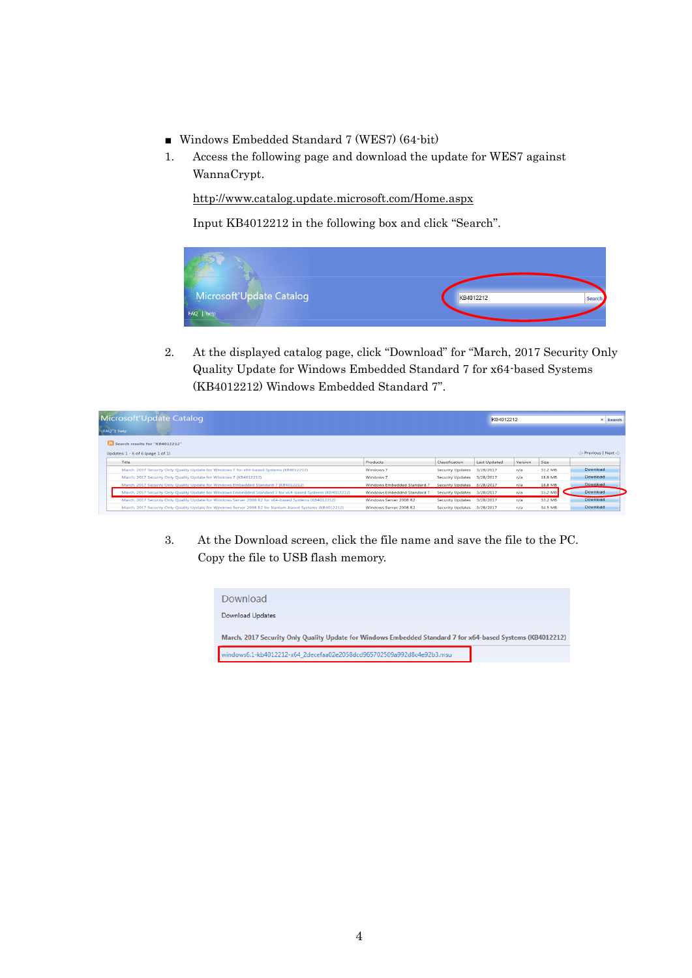- Windows Embedded Standard 7 (WES7) (64-bit)
- 1. Access the following page and download the update for WES7 against WannaCrypt.

<http://www.catalog.update.microsoft.com/Home.aspx>

Input KB4012212 in the following box and click "Search".



2. At the displayed catalog page, click "Download" for "March, 2017 Security Only Quality Update for Windows Embedded Standard 7 for x64-based Systems (KB4012212) Windows Embedded Standard 7".

| Microsoft Update Catalog<br>FAQ <sup>-</sup>   help                                                        |                                    |                            |                     | KB4012212 |         | <b>× Search</b> |  |
|------------------------------------------------------------------------------------------------------------|------------------------------------|----------------------------|---------------------|-----------|---------|-----------------|--|
| Search results for "KB4012212"                                                                             |                                    |                            |                     |           |         |                 |  |
| Updates: $1 - 6$ of 6 (page $1$ of $1$ )                                                                   |                                    |                            |                     |           |         | Previous   Next |  |
| Title                                                                                                      | Products                           | Classification             | <b>Last Updated</b> | Version   | Size    |                 |  |
| March, 2017 Security Only Quality Update for Windows 7 for x64-based Systems (KB4012212)                   | Windows <sub>7</sub>               | <b>Security Updates</b>    | 3/28/2017           | n/a       | 33.2 MB | Download        |  |
| March, 2017 Security Only Ouality Update for Windows 7 (KB4012212)                                         | Windows <sub>7</sub>               | <b>Security Updates</b>    | 3/28/2017           | n/a       | 18.8 MB | Download        |  |
| March, 2017 Security Only Quality Update for Windows Embedded Standard 7 (KB4012212)                       | Windows Embedded Standard 7        | Security Updates 3/28/2017 |                     | n/a       | 18.8 MB | <b>Download</b> |  |
| March, 2017 Security Only Quality Update for Windows Embedded Standard 7 for x64-based Systems (KB4012212) | <b>Windows Embedded Standard 7</b> | <b>Security Updates</b>    | 3/28/2017           | n/a       | 33.2 MB | Download        |  |
| March, 2017 Security Only Ouality Update for Windows Server 2008 R2 for x64-based Systems (KB4012212)      | Windows Server 2008 R2             | <b>Security Updates</b>    | 3/28/2017           | n/a       | 33.2 MB | Download        |  |
| March, 2017 Security Only Quality Update for Windows Server 2008 R2 for Itanium-based Systems (KB4012212)  | Windows Server 2008 R2             | <b>Security Updates</b>    | 3/28/2017           | n/a       | 34.5 MB | Download        |  |

3. At the Download screen, click the file name and save the file to the PC. Copy the file to USB flash memory.

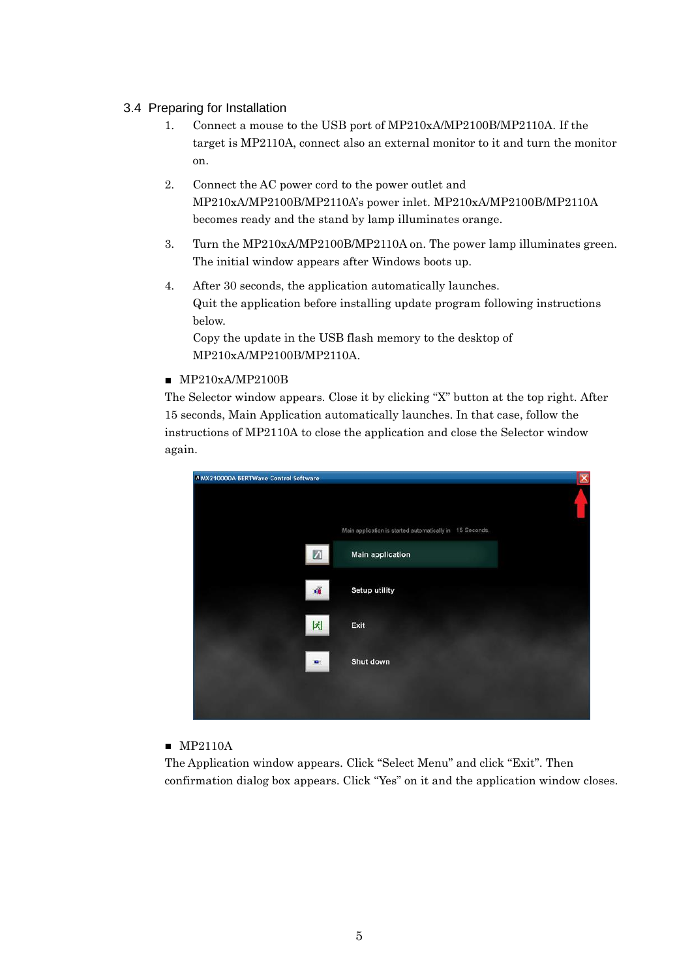#### <span id="page-4-0"></span>3.4 Preparing for Installation

- 1. Connect a mouse to the USB port of MP210xA/MP2100B/MP2110A. If the target is MP2110A, connect also an external monitor to it and turn the monitor on.
- 2. Connect the AC power cord to the power outlet and MP210xA/MP2100B/MP2110A's power inlet. MP210xA/MP2100B/MP2110A becomes ready and the stand by lamp illuminates orange.
- 3. Turn the MP210xA/MP2100B/MP2110A on. The power lamp illuminates green. The initial window appears after Windows boots up.
- 4. After 30 seconds, the application automatically launches. Quit the application before installing update program following instructions below.

Copy the update in the USB flash memory to the desktop of MP210xA/MP2100B/MP2110A.

#### ■ MP210xA/MP2100B

The Selector window appears. Close it by clicking "X" button at the top right. After 15 seconds, Main Application automatically launches. In that case, follow the instructions of MP2110A to close the application and close the Selector window again.

|                                                          | × |
|----------------------------------------------------------|---|
|                                                          |   |
| Main application is started automatically in 15 Seconds. |   |
| Main application                                         |   |
| Setup utility<br>$\overline{\mathbf{M}}$                 |   |
| l차<br>Exit                                               |   |
| Shut down<br>D.                                          |   |
|                                                          |   |

#### ■ MP2110A

The Application window appears. Click "Select Menu" and click "Exit". Then confirmation dialog box appears. Click "Yes" on it and the application window closes.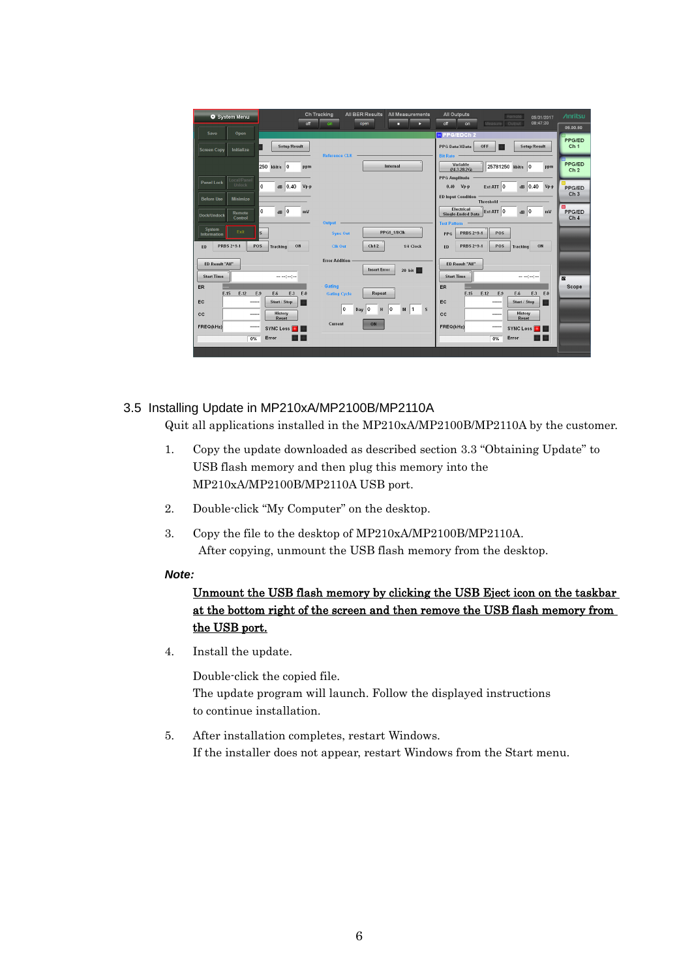| System Menu                                                                                       | <b>Ch Tracking</b><br>off<br>on                                      | All BER Results<br>All Measurements<br>open<br>гэ<br>о | <b>All Outputs</b><br>Remote<br>Measure Output<br>off<br>on                        | <b>/inritsu</b><br>05/31/2017<br>08:47:30<br>05.00.50                                                                                                                                                                                                                                                                                                                                                                                                                           |
|---------------------------------------------------------------------------------------------------|----------------------------------------------------------------------|--------------------------------------------------------|------------------------------------------------------------------------------------|---------------------------------------------------------------------------------------------------------------------------------------------------------------------------------------------------------------------------------------------------------------------------------------------------------------------------------------------------------------------------------------------------------------------------------------------------------------------------------|
| Open<br>Save<br><b>Screen Copy</b><br>Initialize                                                  | Setup/Result<br>Reference CLK -                                      |                                                        | <b>X</b> PPG/EDCh 2<br>OFF<br>PPG Data/XData<br><b>Bit Rate</b>                    | PPG/ED<br>Setup/Result<br>Ch <sub>1</sub>                                                                                                                                                                                                                                                                                                                                                                                                                                       |
| 250 kbit/s 0                                                                                      | ppm                                                                  | Internal                                               | Variable<br>25781250 kbit/s 0<br>$(24.3 - 28.2G)$<br><b>PPG Amplitude</b>          | <b>PPG/ED</b><br>ppm<br>Ch <sub>2</sub>                                                                                                                                                                                                                                                                                                                                                                                                                                         |
| Local/Panel<br><b>Panel Lock</b><br>Unlock<br>$\mathbf 0$<br><b>Before Use</b><br><b>Minimize</b> | $dB$ 0.40 Vp-p                                                       |                                                        | $0.40 \, Vp \cdot p$<br>Ext ATT 0<br><b>ED Input Condition</b><br><b>Threshold</b> | $dB$ 0.40<br>$Vp-p$<br><b>PPG/ED</b><br>Ch <sub>3</sub>                                                                                                                                                                                                                                                                                                                                                                                                                         |
| $\mathbf 0$<br>Remote<br><b>Dock/Undock</b><br>Control                                            | $dB$ 0<br>mV<br>Output -                                             |                                                        | Electrical<br>Ext ATT 0<br>Single-Ended Data<br><b>Test Pattern</b>                | $dB$ 0<br><b>PPG/ED</b><br>mV<br>Ch <sub>4</sub>                                                                                                                                                                                                                                                                                                                                                                                                                                |
| System<br>Exit<br>$\overline{\mathbf{s}}$<br>Information<br>PRBS 2^9-1<br>POS<br>ED.              | <b>Sync Out</b><br>ON<br>Clk Out<br><b>Tracking</b>                  | PPG1_1/8Clk<br>Ch1/2<br>1/4 Clock                      | PRBS 2^9.1<br>POS<br>PPG<br>PRBS 2^9-1<br>POS<br>Tracking<br>ED.                   | ON                                                                                                                                                                                                                                                                                                                                                                                                                                                                              |
| ED Result "All"<br><b>Start Time</b>                                                              | <b>Error Addition</b><br>-----                                       | <b>Insert Error</b><br>$20$ bit<br>磭                   | ED Result "All"<br><b>Start Time</b>                                               | $\frac{1}{2} \left( \frac{1}{2} \right) \left( \frac{1}{2} \right) \left( \frac{1}{2} \right) \left( \frac{1}{2} \right) \left( \frac{1}{2} \right) \left( \frac{1}{2} \right) \left( \frac{1}{2} \right) \left( \frac{1}{2} \right) \left( \frac{1}{2} \right) \left( \frac{1}{2} \right) \left( \frac{1}{2} \right) \left( \frac{1}{2} \right) \left( \frac{1}{2} \right) \left( \frac{1}{2} \right) \left( \frac{1}{2} \right) \left( \frac{1}{2} \right) \left( \frac$<br>歰 |
| ER<br>$E-15$<br>$E-12$<br>E-9<br>EC<br>-----                                                      | Gating<br>$E-3$<br>E-0<br>E-6<br><b>Gating Cycle</b><br>Start / Stop | Repeat                                                 | ER<br>$E-15$<br>$E-12$<br>E-9<br>E-6<br><b>EC</b><br>-----                         | Scope<br>$E-3$<br>E-0<br>Start / Stop                                                                                                                                                                                                                                                                                                                                                                                                                                           |
| cc<br>$1 - 1 - 1 = 1$<br>FREQ(kHz)                                                                | History<br><b>Reset</b><br>Current<br><b>SYNC Loss</b>               | I٥<br>$M$ 1<br>10<br>Day 0<br>H<br>$\mathbf{s}$<br>ON  | cc<br>-----<br>FREG(kHz)<br>-----<br><b>SYNC Loss</b>                              | History<br>Reset                                                                                                                                                                                                                                                                                                                                                                                                                                                                |
| Error<br>0%                                                                                       |                                                                      |                                                        | Error<br>0%                                                                        |                                                                                                                                                                                                                                                                                                                                                                                                                                                                                 |

## <span id="page-5-0"></span>3.5 Installing Update in MP210xA/MP2100B/MP2110A

Quit all applications installed in the MP210xA/MP2100B/MP2110A by the customer.

- 1. Copy the update downloaded as described section [3.3](#page-1-2) "[Obtaining Update](#page-1-2)" to USB flash memory and then plug this memory into the MP210xA/MP2100B/MP2110A USB port.
- 2. Double-click "My Computer" on the desktop.
- 3. Copy the file to the desktop of MP210xA/MP2100B/MP2110A. After copying, unmount the USB flash memory from the desktop.

#### *Note:*

# Unmount the USB flash memory by clicking the USB Eject icon on the taskbar at the bottom right of the screen and then remove the USB flash memory from the USB port.

4. Install the update.

Double-click the copied file. The update program will launch. Follow the displayed instructions to continue installation.

5. After installation completes, restart Windows. If the installer does not appear, restart Windows from the Start menu.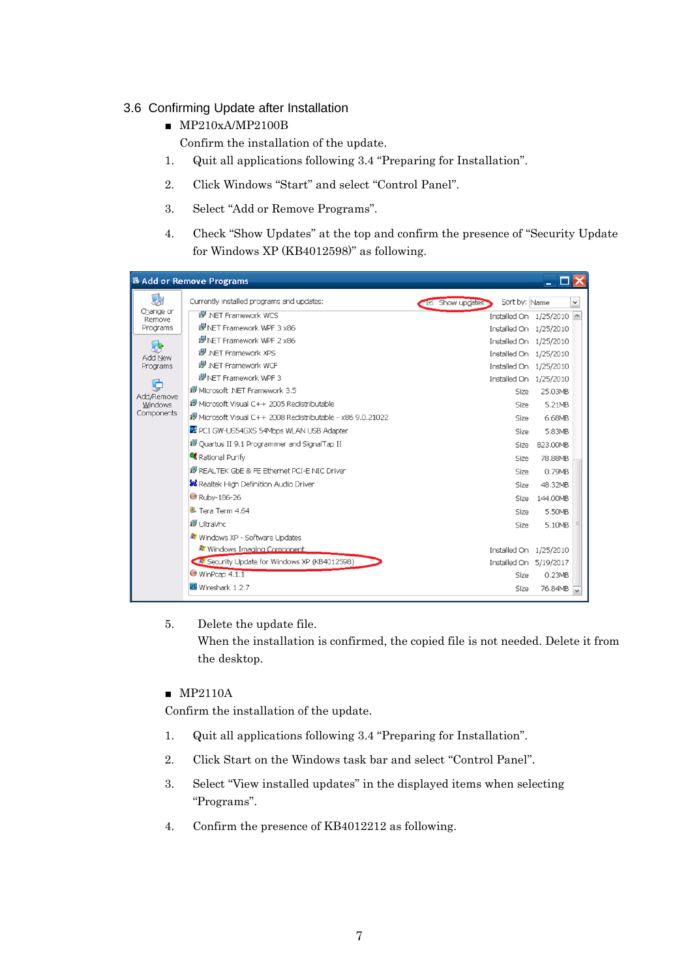## <span id="page-6-0"></span>3.6 Confirming Update after Installation

■ MP210xA/MP2100B

Confirm the installation of the update.

- 1. Quit all applications following [3.4](#page-4-0) "Preparing [for Installation](#page-4-0)".
- 2. Click Windows "Start" and select "Control Panel".
- 3. Select "Add or Remove Programs".
- 4. Check "Show Updates" at the top and confirm the presence of "Security Update for Windows XP (KB4012598)" as following.

|                     | & Add or Remove Programs                                     |                                  | $ \Box$ $\times$         |
|---------------------|--------------------------------------------------------------|----------------------------------|--------------------------|
| 尉                   | Currently installed programs and updates:                    | Sort by: Name<br>La Show updates | $\checkmark$             |
| Change or<br>Remove | i5 NET Framework WCS                                         |                                  | Installed On 1/25/2010 ^ |
| Programs            | IS NET Framework WPF 3 x86                                   |                                  | Installed On 1/25/2010   |
| -65                 | IS NET Framework WPF 2 x86                                   |                                  | Installed On 1/25/2010   |
| Add New             | <b>IS NET Framework XPS</b>                                  |                                  | Installed On 1/25/2010   |
| Programs            | in NET Framework WCF                                         |                                  | Installed On 1/25/2010   |
| ╔┻                  | in NET Framework WPF 3                                       |                                  | Installed On 1/25/2010   |
| Add/Remove          | ill Microsoft .NET Framework 3.5                             | Size                             | 25.03MB                  |
| Windows             | Microsoft Visual C++ 2005 Redistributable                    | Size                             | 5.21MB                   |
| Components          | iy Microsoft Visual C++ 2008 Redistributable - x86 9.0.21022 | Size                             | 6.68MB                   |
|                     | PCI GW-US54GXS 54Mbps WLAN USB Adapter                       | Size                             | 5.83MB                   |
|                     | 19 Quartus II 9.1 Programmer and SignalTap II                | Size                             | 823.00MB                 |
|                     | Rational Purify                                              | Size                             | 78.88MB                  |
|                     | IS REALTEK GbE & FE Ethernet PCI-E NIC Driver                | Size                             | 0.79MB                   |
|                     | <b>XX</b> Realtek High Definition Audio Driver               | Size                             | 48.32MB                  |
|                     | Ruby-186-26                                                  | Size                             | 144.00MB                 |
|                     | $\blacktriangleright$ Tera Term 4.64                         | Size                             | 5.50MB                   |
|                     | i <sup>g</sup> UltraVnc                                      | Size                             | 5.10MB                   |
|                     | <b>**</b> Windows XP - Software Updates                      |                                  |                          |
|                     | <b>**</b> Windows Imaging Component                          |                                  | Installed On 1/25/2010   |
|                     | Security Update for Windows XP (KB4012598)                   |                                  | Installed On 5/19/2017   |
|                     | WinPcap 4.1.1                                                | Size                             | 0.23MB                   |
|                     | Wireshark 1.2.7                                              | Size                             | 76.84MB                  |

#### 5. Delete the update file.

When the installation is confirmed, the copied file is not needed. Delete it from the desktop.

## ■ MP2110A

Confirm the installation of the update.

- 1. Quit all applications following [3.4](#page-4-0) "Preparing [for Installation](#page-4-0)".
- 2. Click Start on the Windows task bar and select "Control Panel".
- 3. Select "View installed updates" in the displayed items when selecting "Programs".
- 4. Confirm the presence of KB4012212 as following.